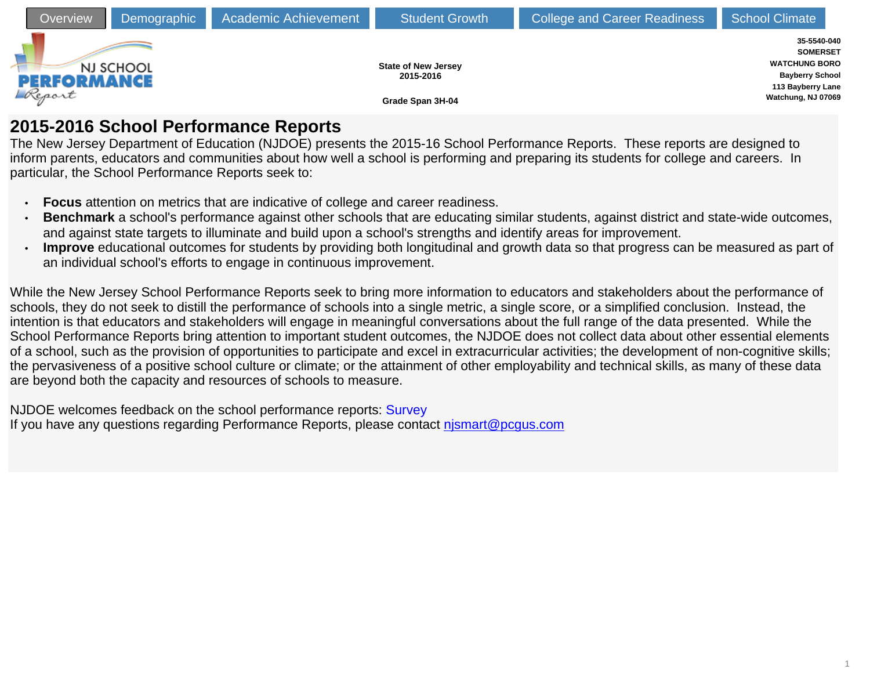

# **2015-2016 School Performance Reports**

The New Jersey Department of Education (NJDOE) presents the 2015-16 School Performance Reports. These reports are designed to inform parents, educators and communities about how well a school is performing and preparing its students for college and careers. In particular, the School Performance Reports seek to:

- **Focus** attention on metrics that are indicative of college and career readiness.
- **Benchmark** a school's performance against other schools that are educating similar students, against district and state-wide outcomes, and against state targets to illuminate and build upon a school's strengths and identify areas for improvement.
- **Improve** educational outcomes for students by providing both longitudinal and growth data so that progress can be measured as part of an individual school's efforts to engage in continuous improvement.

While the New Jersey School Performance Reports seek to bring more information to educators and stakeholders about the performance of schools, they do not seek to distill the performance of schools into a single metric, a single score, or a simplified conclusion. Instead, the intention is that educators and stakeholders will engage in meaningful conversations about the full range of the data presented. While the School Performance Reports bring attention to important student outcomes, the NJDOE does not collect data about other essential elements of a school, such as the provision of opportunities to participate and excel in extracurricular activities; the development of non-cognitive skills; the pervasiveness of a positive school culture or climate; or the attainment of other employability and technical skills, as many of these data are beyond both the capacity and resources of schools to measure.

NJDOE welcomes feedback on the school performance reports: [Survey](https://www.surveymonkey.com/r/YL2JR6B) If you have any questions regarding Performance Reports, please contact [njsmart@pcgus.com](mailto:njsmart@pcgus.com)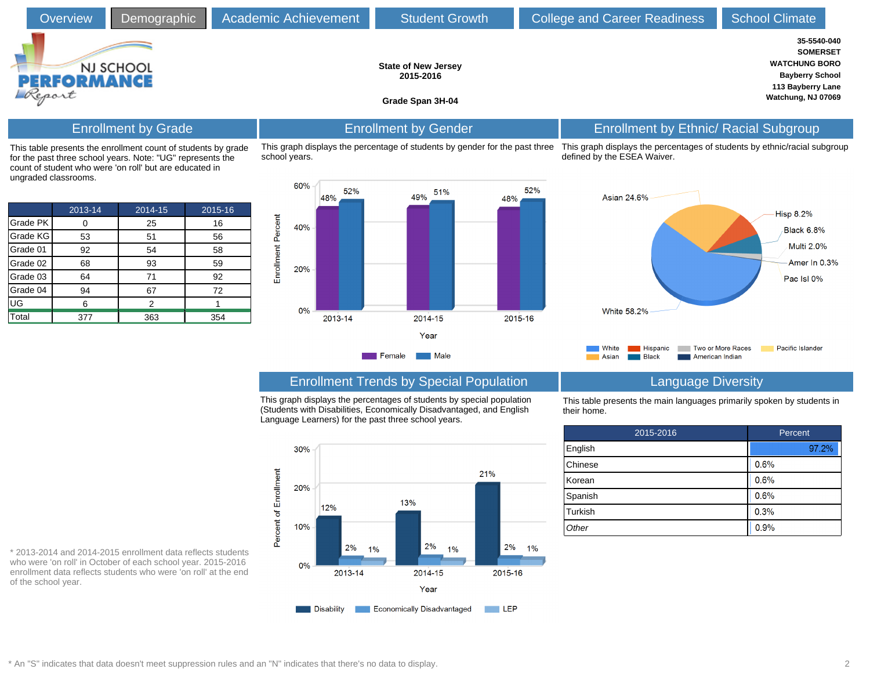| <b>Overview</b>                                                                                                             | Demographic                | Academic Achievement | <b>Student Growth</b>                                                       | <b>College and Career Readiness</b>                                                                     | <b>School Climate</b>                                                                                                       |
|-----------------------------------------------------------------------------------------------------------------------------|----------------------------|----------------------|-----------------------------------------------------------------------------|---------------------------------------------------------------------------------------------------------|-----------------------------------------------------------------------------------------------------------------------------|
| <b>PERFORMANCE</b><br>Report                                                                                                | NJ SCHOOL                  |                      | <b>State of New Jersey</b><br>2015-2016<br>Grade Span 3H-04                 |                                                                                                         | 35-5540-040<br><b>SOMERSET</b><br><b>WATCHUNG BORO</b><br><b>Bayberry School</b><br>113 Bayberry Lane<br>Watchung, NJ 07069 |
|                                                                                                                             | <b>Enrollment by Grade</b> |                      | <b>Enrollment by Gender</b>                                                 | <b>Enrollment by Ethnic/ Racial Subgroup</b>                                                            |                                                                                                                             |
| This table presents the enrollment count of students by grade<br>for the past three school years. Note: "UG" represents the |                            | school years.        | This graph displays the percentage of students by gender for the past three | This graph displays the percentages of students by ethnic/racial subgrou<br>defined by the ESEA Waiver. |                                                                                                                             |

|          | 2013-14 | 2014-15 | 2015-16 |
|----------|---------|---------|---------|
| Grade PK |         | 25      | 16      |
| Grade KG | 53      | 51      | 56      |
| Grade 01 | 92      | 54      | 58      |
| Grade 02 | 68      | 93      | 59      |
| Grade 03 | 64      | 71      | 92      |
| Grade 04 | 94      | 67      | 72      |
| UG       | 6       | 2       |         |
| Total    | 377     | 363     | 354     |

count of student who were 'on roll' but are educated in

ungraded classrooms.



## c/racial subgroup



## Enrollment Trends by Special Population Language Diversity

This graph displays the percentages of students by special population (Students with Disabilities, Economically Disadvantaged, and English Language Learners) for the past three school years.



This table presents the main languages primarily spoken by students in their home.

| 2015-2016 | Percent |  |  |  |
|-----------|---------|--|--|--|
| English   | 97.2%   |  |  |  |
| Chinese   | 0.6%    |  |  |  |
| Korean    | 0.6%    |  |  |  |
| Spanish   | 0.6%    |  |  |  |
| Turkish   | 0.3%    |  |  |  |
| Other     | 0.9%    |  |  |  |

\* 2013-2014 and 2014-2015 enrollment data reflects students who were 'on roll' in October of each school year. 2015-2016 enrollment data reflects students who were 'on roll' at the end of the school year.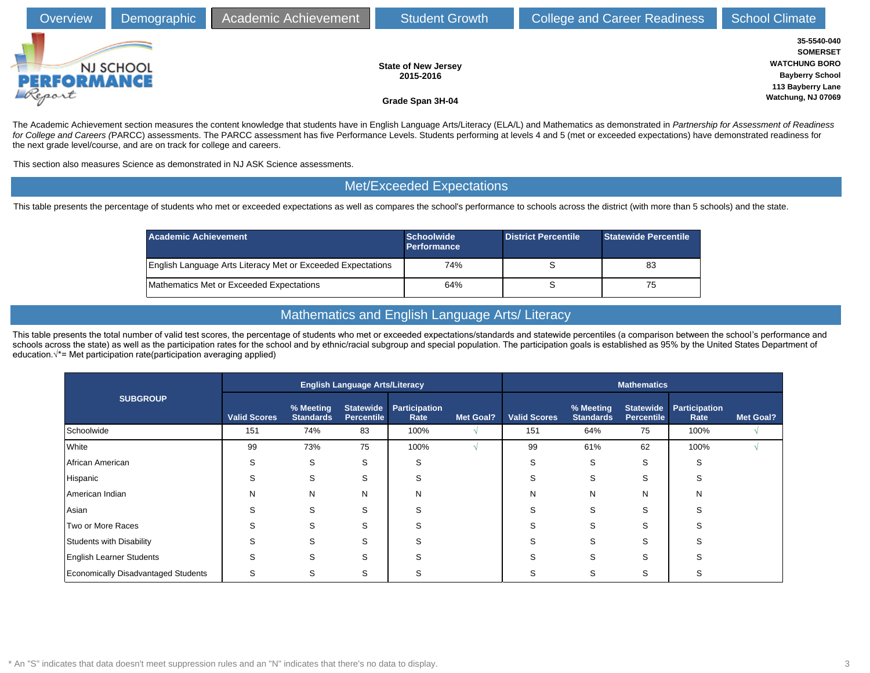| <b>Overview</b>              | Demographic | Academic Achievement | <b>Student Growth</b>                                       | <b>College and Career Readiness</b> | <b>School Climate</b>                                                                                                       |  |
|------------------------------|-------------|----------------------|-------------------------------------------------------------|-------------------------------------|-----------------------------------------------------------------------------------------------------------------------------|--|
| <b>PERFORMANCE</b><br>Report | NJ SCHOOL   |                      | <b>State of New Jersey</b><br>2015-2016<br>Grade Span 3H-04 |                                     | 35-5540-040<br><b>SOMERSET</b><br><b>WATCHUNG BORO</b><br><b>Bayberry School</b><br>113 Bayberry Lane<br>Watchung, NJ 07069 |  |

The Academic Achievement section measures the content knowledge that students have in English Language Arts/Literacy (ELA/L) and Mathematics as demonstrated in Partnership for Assessment of Readiness for College and Careers (PARCC) assessments. The PARCC assessment has five Performance Levels. Students performing at levels 4 and 5 (met or exceeded expectations) have demonstrated readiness for the next grade level/course, and are on track for college and careers.

This section also measures Science as demonstrated in NJ ASK Science assessments.

#### Met/Exceeded Expectations

This table presents the percentage of students who met or exceeded expectations as well as compares the school's performance to schools across the district (with more than 5 schools) and the state.

| <b>Academic Achievement</b>                                 | <b>Schoolwide</b><br><b>Performance</b> | <b>District Percentile</b> | <b>Statewide Percentile</b> |
|-------------------------------------------------------------|-----------------------------------------|----------------------------|-----------------------------|
| English Language Arts Literacy Met or Exceeded Expectations | 74%                                     |                            | 83                          |
| Mathematics Met or Exceeded Expectations                    | 64%                                     |                            | 75                          |

### Mathematics and English Language Arts/ Literacy

This table presents the total number of valid test scores, the percentage of students who met or exceeded expectations/standards and statewide percentiles (a comparison between the school's performance and schools across the state) as well as the participation rates for the school and by ethnic/racial subgroup and special population. The participation goals is established as 95% by the United States Department of education. $\sqrt{*}$  Met participation rate(participation averaging applied)

|                                            |                     |                               | <b>English Language Arts/Literacy</b> |                       |                  |                     |                               | <b>Mathematics</b>                    |                      | <b>Met Goal?</b><br>Rate<br>100%<br>S<br>S<br>N |  |  |
|--------------------------------------------|---------------------|-------------------------------|---------------------------------------|-----------------------|------------------|---------------------|-------------------------------|---------------------------------------|----------------------|-------------------------------------------------|--|--|
| <b>SUBGROUP</b>                            | <b>Valid Scores</b> | % Meeting<br><b>Standards</b> | <b>Statewide</b><br><b>Percentile</b> | Participation<br>Rate | <b>Met Goal?</b> | <b>Valid Scores</b> | % Meeting<br><b>Standards</b> | <b>Statewide</b><br><b>Percentile</b> | <b>Participation</b> |                                                 |  |  |
| Schoolwide                                 | 151                 | 74%                           | 83                                    | 100%                  |                  | 151                 | 64%                           | 75                                    | 100%                 |                                                 |  |  |
| White                                      | 99                  | 73%                           | 75                                    | 100%                  |                  | 99                  | 61%                           | 62                                    |                      |                                                 |  |  |
| African American                           | S                   | S                             | S                                     | S                     |                  | S                   | S                             | S                                     |                      |                                                 |  |  |
| Hispanic                                   | S                   | S                             | S                                     | S                     |                  | S                   | S                             | S                                     |                      |                                                 |  |  |
| American Indian                            | N                   | N                             | N                                     | N                     |                  | N                   | N                             | N                                     |                      |                                                 |  |  |
| Asian                                      | S                   | S                             | S                                     | S                     |                  | S                   | S                             | S                                     |                      |                                                 |  |  |
| Two or More Races                          | S                   | S                             | S                                     | S                     |                  | S                   | S                             | S                                     |                      |                                                 |  |  |
| Students with Disability                   | S                   | S                             | S                                     | S                     |                  | S                   | S                             | S                                     | r.                   |                                                 |  |  |
| <b>English Learner Students</b>            | S                   | S                             | S                                     | S                     |                  | S                   | S                             | S                                     |                      |                                                 |  |  |
| <b>Economically Disadvantaged Students</b> | S                   | S                             | S                                     | S                     |                  | S                   | S                             | S                                     | S                    |                                                 |  |  |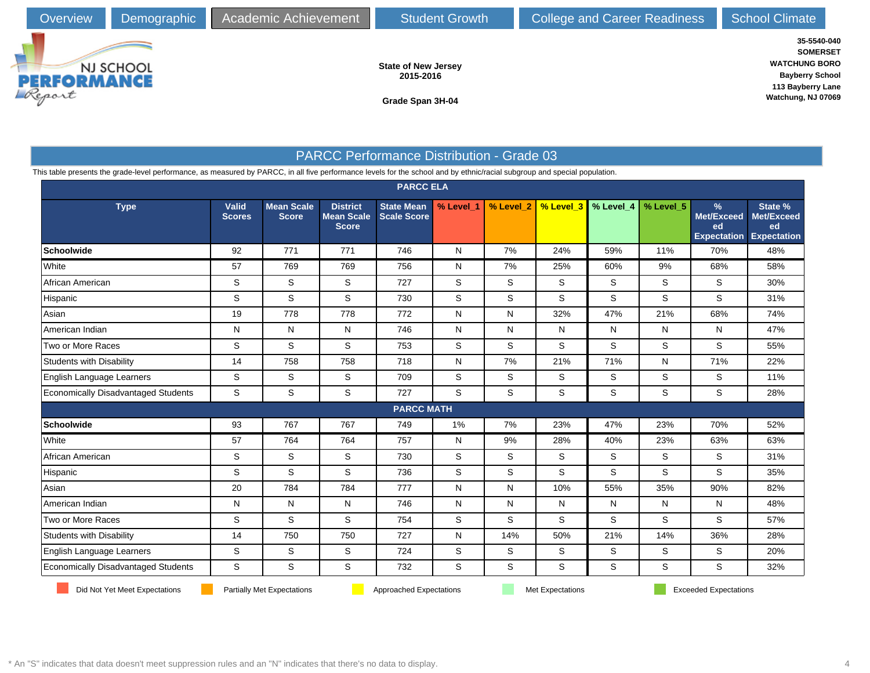

**State of New Jersey 2015-2016**

**35-5540-040 SOMERSET WATCHUNG BORO Bayberry School 113 Bayberry Lane Watchung, NJ 07069**

**Grade Span 3H-04**

### PARCC Performance Distribution - Grade 03

This table presents the grade-level performance, as measured by PARCC, in all five performance levels for the school and by ethnic/racial subgroup and special population.

|                                     |                               |                                   |                                                      | <b>PARCC ELA</b>                        |             |           |                         |                       |           |                                                    |                                                   |
|-------------------------------------|-------------------------------|-----------------------------------|------------------------------------------------------|-----------------------------------------|-------------|-----------|-------------------------|-----------------------|-----------|----------------------------------------------------|---------------------------------------------------|
| <b>Type</b>                         | <b>Valid</b><br><b>Scores</b> | <b>Mean Scale</b><br><b>Score</b> | <b>District</b><br><b>Mean Scale</b><br><b>Score</b> | <b>State Mean</b><br><b>Scale Score</b> | % Level_1   | % Level_2 |                         | % Level_3   % Level_4 | % Level_5 | %<br><b>Met/Exceed</b><br>ed<br><b>Expectation</b> | State %<br>Met/Exceed<br>ed<br><b>Expectation</b> |
| <b>Schoolwide</b>                   | 92                            | 771                               | 771                                                  | 746                                     | N           | 7%        | 24%                     | 59%                   | 11%       | 70%                                                | 48%                                               |
| White                               | 57                            | 769                               | 769                                                  | 756                                     | N           | 7%        | 25%                     | 60%                   | 9%        | 68%                                                | 58%                                               |
| African American                    | S                             | S                                 | S                                                    | 727                                     | S           | S         | S                       | S                     | S         | S                                                  | 30%                                               |
| Hispanic                            | $\mathbb S$                   | S                                 | $\mathbb S$                                          | 730                                     | S           | S         | S                       | S                     | S         | S                                                  | 31%                                               |
| Asian                               | 19                            | 778                               | 778                                                  | 772                                     | N           | N         | 32%                     | 47%                   | 21%       | 68%                                                | 74%                                               |
| American Indian                     | N                             | N                                 | N                                                    | 746                                     | ${\sf N}$   | N         | $\mathsf{N}$            | N                     | N         | N                                                  | 47%                                               |
| Two or More Races                   | S                             | S                                 | S                                                    | 753                                     | S           | S         | S                       | S                     | S         | S                                                  | 55%                                               |
| Students with Disability            | 14                            | 758                               | 758                                                  | 718                                     | ${\sf N}$   | 7%        | 21%                     | 71%                   | N         | 71%                                                | 22%                                               |
| English Language Learners           | S                             | S                                 | S                                                    | 709                                     | S           | S         | S                       | S                     | S         | S                                                  | 11%                                               |
| Economically Disadvantaged Students | S                             | S                                 | S                                                    | 727                                     | S           | S         | S                       | S                     | S         | S                                                  | 28%                                               |
|                                     |                               |                                   |                                                      | <b>PARCC MATH</b>                       |             |           |                         |                       |           |                                                    |                                                   |
| <b>Schoolwide</b>                   | 93                            | 767                               | 767                                                  | 749                                     | 1%          | 7%        | 23%                     | 47%                   | 23%       | 70%                                                | 52%                                               |
| White                               | 57                            | 764                               | 764                                                  | 757                                     | N           | 9%        | 28%                     | 40%                   | 23%       | 63%                                                | 63%                                               |
| African American                    | $\mathbb S$                   | S                                 | $\mathbb S$                                          | 730                                     | $\mathbf S$ | S         | S                       | S                     | S         | S                                                  | 31%                                               |
| Hispanic                            | S                             | S                                 | S                                                    | 736                                     | S           | S         | S                       | S                     | S         | S                                                  | 35%                                               |
| Asian                               | 20                            | 784                               | 784                                                  | 777                                     | N           | N         | 10%                     | 55%                   | 35%       | 90%                                                | 82%                                               |
| American Indian                     | N                             | N                                 | N                                                    | 746                                     | N           | N         | N                       | N                     | N         | N                                                  | 48%                                               |
| Two or More Races                   | S                             | S                                 | S                                                    | 754                                     | $\mathbb S$ | S         | S                       | S                     | S         | S                                                  | 57%                                               |
| Students with Disability            | 14                            | 750                               | 750                                                  | 727                                     | N           | 14%       | 50%                     | 21%                   | 14%       | 36%                                                | 28%                                               |
| English Language Learners           | S                             | S                                 | S                                                    | 724                                     | S           | S         | S                       | S                     | S         | S                                                  | 20%                                               |
| Economically Disadvantaged Students | $\mathbb S$                   | S                                 | S                                                    | 732                                     | S           | S         | S                       | S                     | S         | S                                                  | 32%                                               |
| Did Not Yet Meet Expectations       |                               | <b>Partially Met Expectations</b> |                                                      | Approached Expectations                 |             |           | <b>Met Expectations</b> |                       |           | <b>Exceeded Expectations</b>                       |                                                   |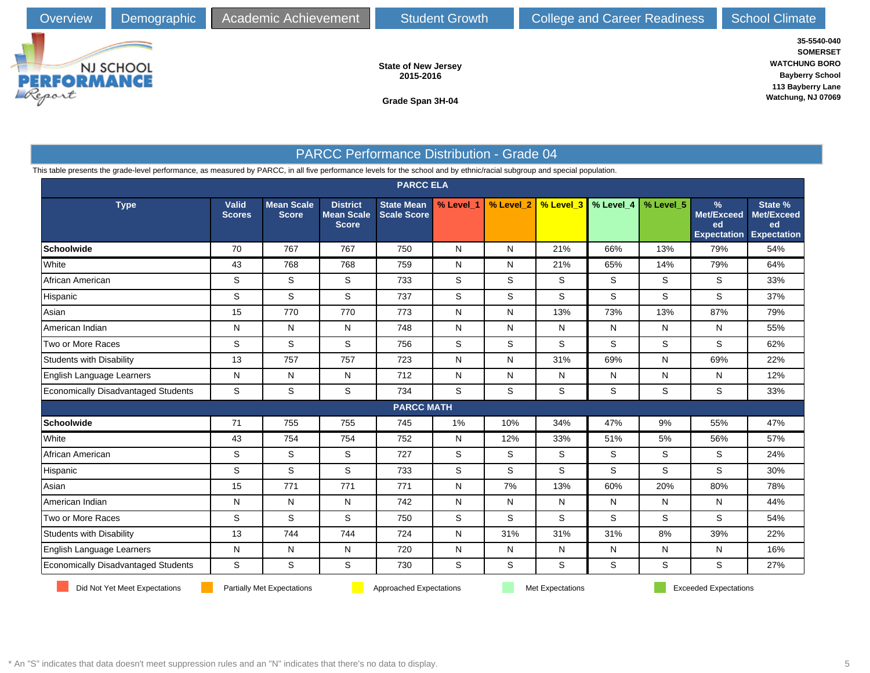

**State of New Jersey 2015-2016**

**Grade Span 3H-04**

**35-5540-040 SOMERSET WATCHUNG BORO Bayberry School 113 Bayberry Lane Watchung, NJ 07069**

### PARCC Performance Distribution - Grade 04

This table presents the grade-level performance, as measured by PARCC, in all five performance levels for the school and by ethnic/racial subgroup and special population.

|                                            |                               |                                   |                                                      | <b>PARCC ELA</b>                        |             |           |                  |           |           |                                             |                                                   |
|--------------------------------------------|-------------------------------|-----------------------------------|------------------------------------------------------|-----------------------------------------|-------------|-----------|------------------|-----------|-----------|---------------------------------------------|---------------------------------------------------|
| <b>Type</b>                                | <b>Valid</b><br><b>Scores</b> | <b>Mean Scale</b><br><b>Score</b> | <b>District</b><br><b>Mean Scale</b><br><b>Score</b> | <b>State Mean</b><br><b>Scale Score</b> | % Level_1   | % Level_2 | % Level_3        | % Level 4 | % Level_5 | %<br>Met/Exceed<br>ed<br><b>Expectation</b> | State %<br>Met/Exceed<br>ed<br><b>Expectation</b> |
| Schoolwide                                 | 70                            | 767                               | 767                                                  | 750                                     | N           | N         | 21%              | 66%       | 13%       | 79%                                         | 54%                                               |
| White                                      | 43                            | 768                               | 768                                                  | 759                                     | N           | N         | 21%              | 65%       | 14%       | 79%                                         | 64%                                               |
| African American                           | S                             | S                                 | $\mathsf S$                                          | 733                                     | $\mathbb S$ | S         | S                | S         | S         | S                                           | 33%                                               |
| Hispanic                                   | S                             | S                                 | S                                                    | 737                                     | S           | S         | S                | S         | S         | S                                           | 37%                                               |
| Asian                                      | 15                            | 770                               | 770                                                  | 773                                     | N           | N         | 13%              | 73%       | 13%       | 87%                                         | 79%                                               |
| American Indian                            | N                             | N                                 | N                                                    | 748                                     | N           | N         | N                | N         | N         | N                                           | 55%                                               |
| Two or More Races                          | S                             | S                                 | S                                                    | 756                                     | S           | S         | S                | S         | S         | S                                           | 62%                                               |
| Students with Disability                   | 13                            | 757                               | 757                                                  | 723                                     | N           | N         | 31%              | 69%       | N         | 69%                                         | 22%                                               |
| English Language Learners                  | N                             | N                                 | N                                                    | 712                                     | N           | N         | N                | N         | N         | N                                           | 12%                                               |
| <b>Economically Disadvantaged Students</b> | S                             | S                                 | S                                                    | 734                                     | S           | S         | S                | S         | S         | S                                           | 33%                                               |
|                                            |                               |                                   |                                                      | <b>PARCC MATH</b>                       |             |           |                  |           |           |                                             |                                                   |
| <b>Schoolwide</b>                          | 71                            | 755                               | 755                                                  | 745                                     | 1%          | 10%       | 34%              | 47%       | 9%        | 55%                                         | 47%                                               |
| White                                      | 43                            | 754                               | 754                                                  | 752                                     | N           | 12%       | 33%              | 51%       | 5%        | 56%                                         | 57%                                               |
| African American                           | S                             | S                                 | S                                                    | 727                                     | S           | S         | S                | S         | S         | S                                           | 24%                                               |
| Hispanic                                   | S                             | S                                 | S                                                    | 733                                     | S           | S         | S                | S         | S         | S                                           | 30%                                               |
| Asian                                      | 15                            | 771                               | 771                                                  | 771                                     | N           | 7%        | 13%              | 60%       | 20%       | 80%                                         | 78%                                               |
| American Indian                            | N                             | N                                 | $\mathsf{N}$                                         | 742                                     | N           | ${\sf N}$ | N                | N         | N         | N                                           | 44%                                               |
| Two or More Races                          | S                             | S                                 | $\mathbf S$                                          | 750                                     | S           | S         | S                | S         | S         | S                                           | 54%                                               |
| Students with Disability                   | 13                            | 744                               | 744                                                  | 724                                     | N           | 31%       | 31%              | 31%       | 8%        | 39%                                         | 22%                                               |
| English Language Learners                  | N                             | N                                 | $\mathsf{N}$                                         | 720                                     | N           | N         | N                | N         | N         | N                                           | 16%                                               |
| Economically Disadvantaged Students        | S                             | S                                 | S                                                    | 730                                     | S           | S         | S                | S         | S         | S                                           | 27%                                               |
| Did Not Yet Meet Expectations              |                               | <b>Partially Met Expectations</b> |                                                      | Approached Expectations                 |             |           | Met Expectations |           |           | <b>Exceeded Expectations</b>                |                                                   |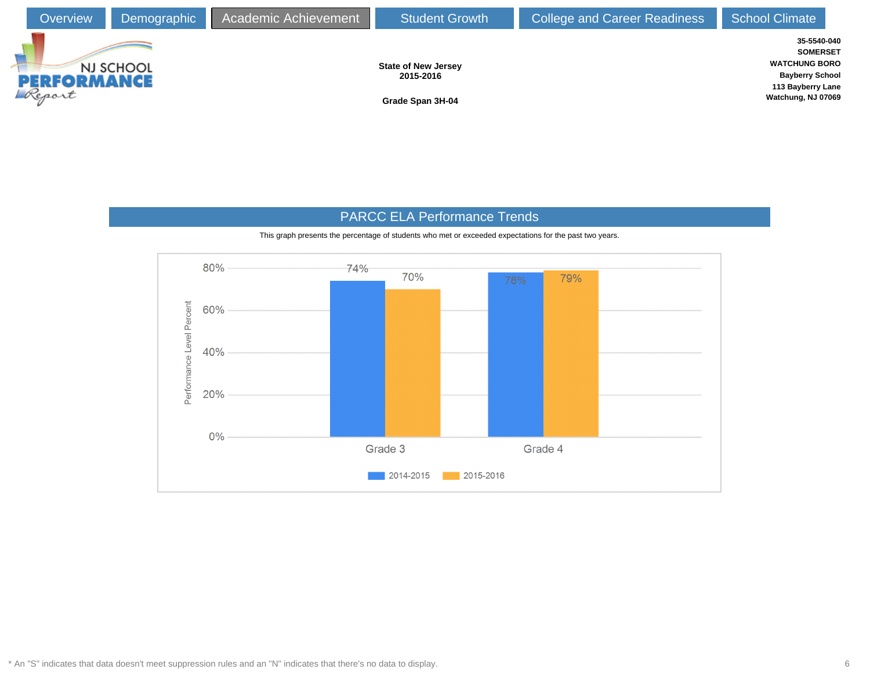

## PARCC ELA Performance Trends



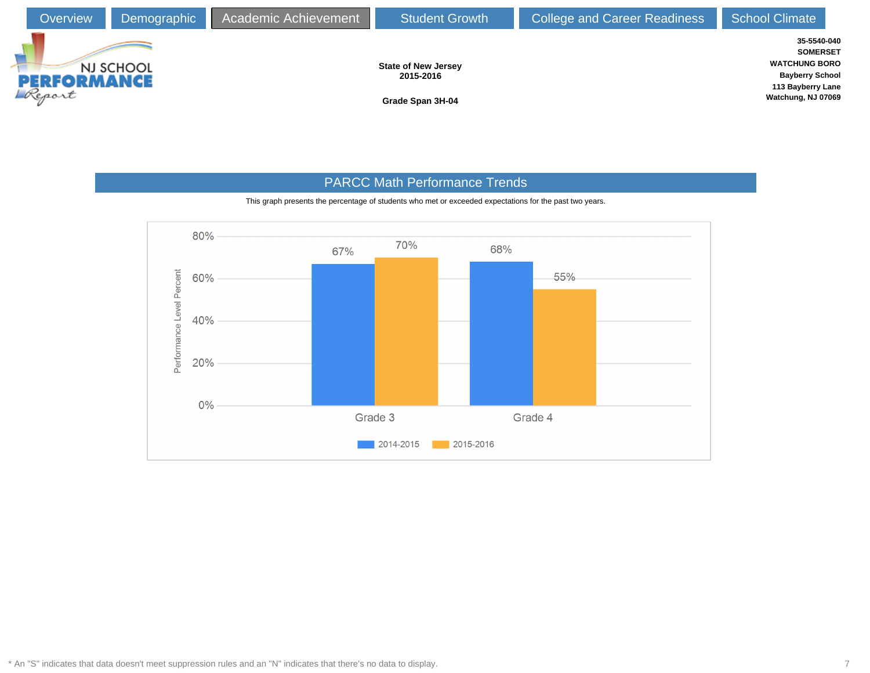

## PARCC Math Performance Trends

This graph presents the percentage of students who met or exceeded expectations for the past two years.

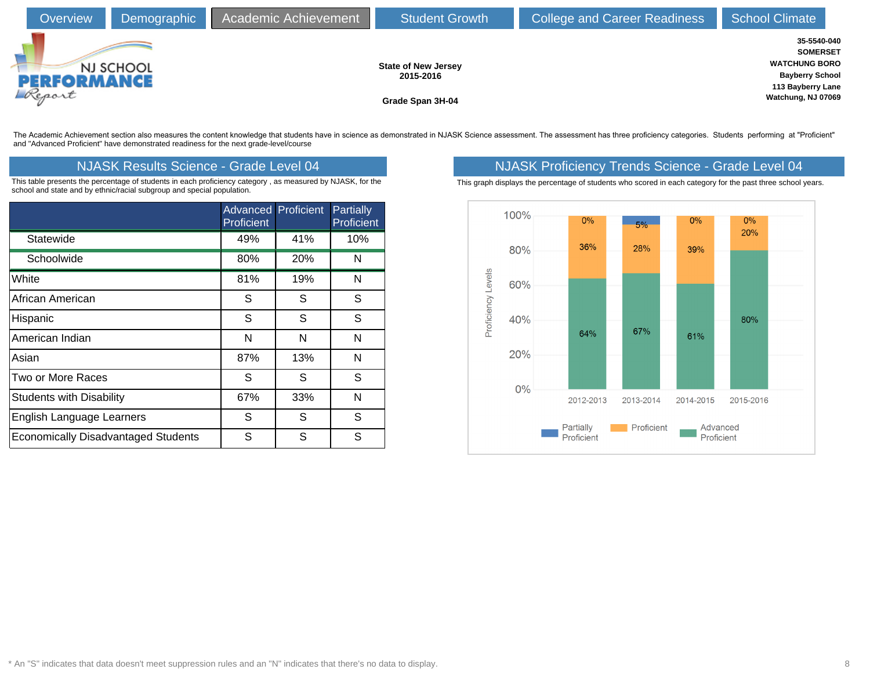| Overview                     | Demographic | Academic Achievement | <b>Student Growth</b>                                       | <b>College and Career Readiness</b> | <b>School Climate</b>                                                                                                       |  |
|------------------------------|-------------|----------------------|-------------------------------------------------------------|-------------------------------------|-----------------------------------------------------------------------------------------------------------------------------|--|
| <b>PERFORMANCE</b><br>Report | NJ SCHOOL   |                      | <b>State of New Jersey</b><br>2015-2016<br>Grade Span 3H-04 |                                     | 35-5540-040<br><b>SOMERSET</b><br><b>WATCHUNG BORO</b><br><b>Bayberry School</b><br>113 Bayberry Lane<br>Watchung, NJ 07069 |  |

The Academic Achievement section also measures the content knowledge that students have in science as demonstrated in NJASK Science assessment. The assessment has three proficiency categories. Students performing at "Profi and "Advanced Proficient" have demonstrated readiness for the next grade-level/course

This table presents the percentage of students in each proficiency category , as measured by NJASK, for the school and state and by ethnic/racial subgroup and special population.

|                                            | <b>Advanced Proficient</b><br>Proficient |            | Partially<br>Proficient |
|--------------------------------------------|------------------------------------------|------------|-------------------------|
| Statewide                                  | 49%                                      | 41%        | 10%                     |
| Schoolwide                                 | 80%                                      | <b>20%</b> | N                       |
| White                                      | 81%                                      | 19%        | N                       |
| African American                           | S                                        | S          | S                       |
| Hispanic                                   | S                                        | S          | S                       |
| American Indian                            | N                                        | N          | N                       |
| Asian                                      | 87%                                      | 13%        | N                       |
| Two or More Races                          | S                                        | S          | S                       |
| <b>Students with Disability</b>            | 67%                                      | 33%        | N                       |
| <b>English Language Learners</b>           | S                                        | S          | S                       |
| <b>Economically Disadvantaged Students</b> | S                                        | S          | S                       |

## NJASK Results Science - Grade Level 04 NJASK Proficiency Trends Science - Grade Level 04

This graph displays the percentage of students who scored in each category for the past three school years.

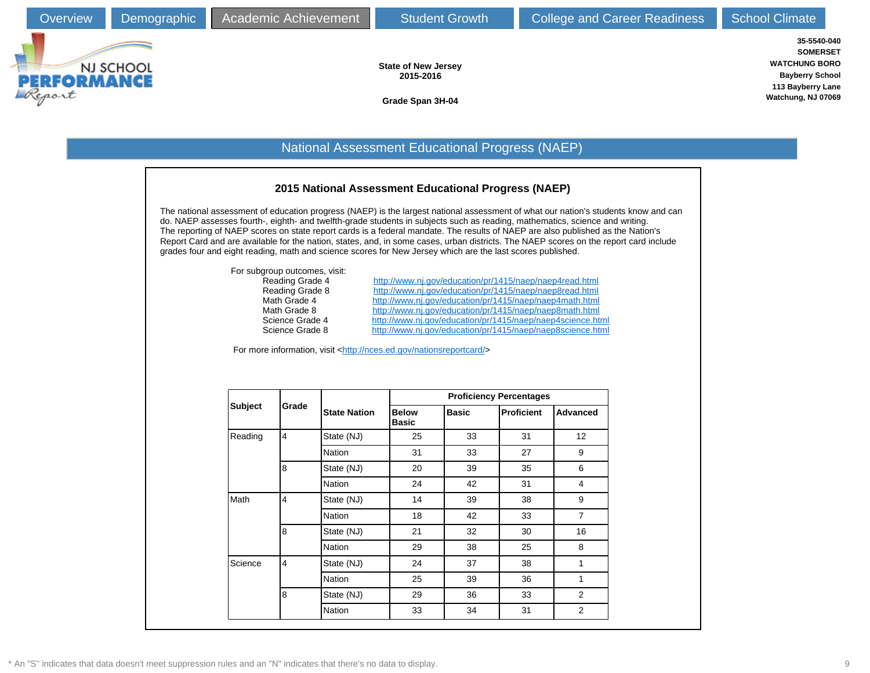**35-5540-040 SOMERSET WATCHUNG BORO Bayberry School 113 Bayberry Lane Watchung, NJ 07069**



**State of New Jersey 2015-2016**

**Grade Span 3H-04**

### National Assessment Educational Progress (NAEP)

#### **2015 National Assessment Educational Progress (NAEP)**

The national assessment of education progress (NAEP) is the largest national assessment of what our nation's students know and can do. NAEP assesses fourth-, eighth- and twelfth-grade students in subjects such as reading, mathematics, science and writing. The reporting of NAEP scores on state report cards is a federal mandate. The results of NAEP are also published as the Nation's Report Card and are available for the nation, states, and, in some cases, urban districts. The NAEP scores on the report card include grades four and eight reading, math and science scores for New Jersey which are the last scores published.

| For subgroup outcomes, visit: |
|-------------------------------|
| Reading Grade 4               |
| Reading Grade 8               |
| Math Grade 4                  |
| Math Grade 8                  |
| Science Grade 4               |
| Science Grade 8               |

<http://www.nj.gov/education/pr/1415/naep/naep4read.html> <http://www.nj.gov/education/pr/1415/naep/naep8read.html> <http://www.nj.gov/education/pr/1415/naep/naep4math.html> <http://www.nj.gov/education/pr/1415/naep/naep8math.html> <http://www.nj.gov/education/pr/1415/naep/naep4science.html> cience Grade 8 <http://www.nj.gov/education/pr/1415/naep/naep8science.html>

For more information, visit <[http://nces.ed.gov/nationsreportcard/>](http://nces.ed.gov/nationsreportcard/)

|                |                |                     | <b>Proficiency Percentages</b>               |    |                   |                 |  |  |  |
|----------------|----------------|---------------------|----------------------------------------------|----|-------------------|-----------------|--|--|--|
| <b>Subject</b> | Grade          | <b>State Nation</b> | <b>Below</b><br><b>Basic</b><br><b>Basic</b> |    | <b>Proficient</b> | <b>Advanced</b> |  |  |  |
| Reading        | $\overline{4}$ | State (NJ)          | 25                                           | 33 | 31                | 12 <sup>2</sup> |  |  |  |
|                |                | <b>Nation</b>       | 31                                           | 33 | 27                | 9               |  |  |  |
|                | 8              | State (NJ)          | 20                                           | 39 | 35                | 6               |  |  |  |
|                |                | Nation              | 24                                           | 42 | 31                | 4               |  |  |  |
| Math           | $\overline{4}$ | State (NJ)          | 14                                           | 39 | 38                | 9               |  |  |  |
|                |                | Nation              | 18                                           | 42 | 33                | $\overline{7}$  |  |  |  |
|                | 8              | State (NJ)          | 21                                           | 32 | 30                | 16              |  |  |  |
|                |                | Nation              | 29                                           | 38 | 25                | 8               |  |  |  |
| Science        | $\overline{4}$ | State (NJ)          | 24                                           | 37 | 38                | 1               |  |  |  |
|                |                | Nation              | 25                                           | 39 | 36                | 1               |  |  |  |
|                | 8              | State (NJ)          | 29                                           | 36 | 33                | 2               |  |  |  |
|                |                | Nation              | 33                                           | 34 | 31                | 2               |  |  |  |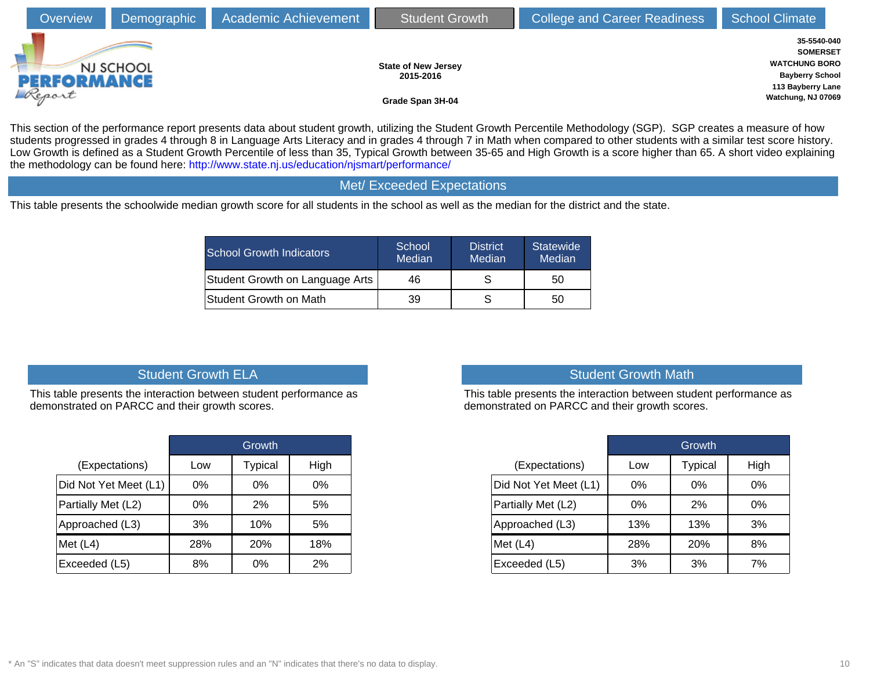| Overview                     | Demographic | <b>Academic Achievement</b> | <b>Student Growth</b>                                       | <b>College and Career Readiness</b> | <b>School Climate</b>                                                                                                       |  |
|------------------------------|-------------|-----------------------------|-------------------------------------------------------------|-------------------------------------|-----------------------------------------------------------------------------------------------------------------------------|--|
| <b>PERFORMANCE</b><br>Report | NJ SCHOOL   |                             | <b>State of New Jersey</b><br>2015-2016<br>Grade Span 3H-04 |                                     | 35-5540-040<br><b>SOMERSET</b><br><b>WATCHUNG BORO</b><br><b>Bayberry School</b><br>113 Bayberry Lane<br>Watchung, NJ 07069 |  |

This section of the performance report presents data about student growth, utilizing the Student Growth Percentile Methodology (SGP). SGP creates a measure of how students progressed in grades 4 through 8 in Language Arts Literacy and in grades 4 through 7 in Math when compared to other students with a similar test score history. Low Growth is defined as a Student Growth Percentile of less than 35, Typical Growth between 35-65 and High Growth is a score higher than 65. A short video explaining the methodology can be found here:<http://www.state.nj.us/education/njsmart/performance/>

#### Met/ Exceeded Expectations

This table presents the schoolwide median growth score for all students in the school as well as the median for the district and the state.

| <b>School Growth Indicators</b> | School<br>Median | <b>District</b><br>Median | <b>Statewide</b><br>Median |
|---------------------------------|------------------|---------------------------|----------------------------|
| Student Growth on Language Arts | 46               |                           | 50                         |
| Student Growth on Math          | 39               |                           | 50                         |

## Student Growth ELA

This table presents the interaction between student performance as demonstrated on PARCC and their growth scores.

|                       |       | Growth         |      |
|-----------------------|-------|----------------|------|
| (Expectations)        | Low   | <b>Typical</b> | High |
| Did Not Yet Meet (L1) | $0\%$ | $0\%$          | 0%   |
| Partially Met (L2)    | $0\%$ | 2%             | 5%   |
| Approached (L3)       | 3%    | 10%            | 5%   |
| Met $(L4)$            | 28%   | 20%            | 18%  |
| Exceeded (L5)         | 8%    | 0%             | 2%   |

## Student Growth Math

This table presents the interaction between student performance as demonstrated on PARCC and their growth scores.

|                       |       | Growth         |       |
|-----------------------|-------|----------------|-------|
| (Expectations)        | Low   | <b>Typical</b> | High  |
| Did Not Yet Meet (L1) | $0\%$ | $0\%$          | $0\%$ |
| Partially Met (L2)    | $0\%$ | 2%             | 0%    |
| Approached (L3)       | 13%   | 13%            | 3%    |
| Met $(L4)$            | 28%   | 20%            | 8%    |
| Exceeded (L5)         | 3%    | 3%             | 7%    |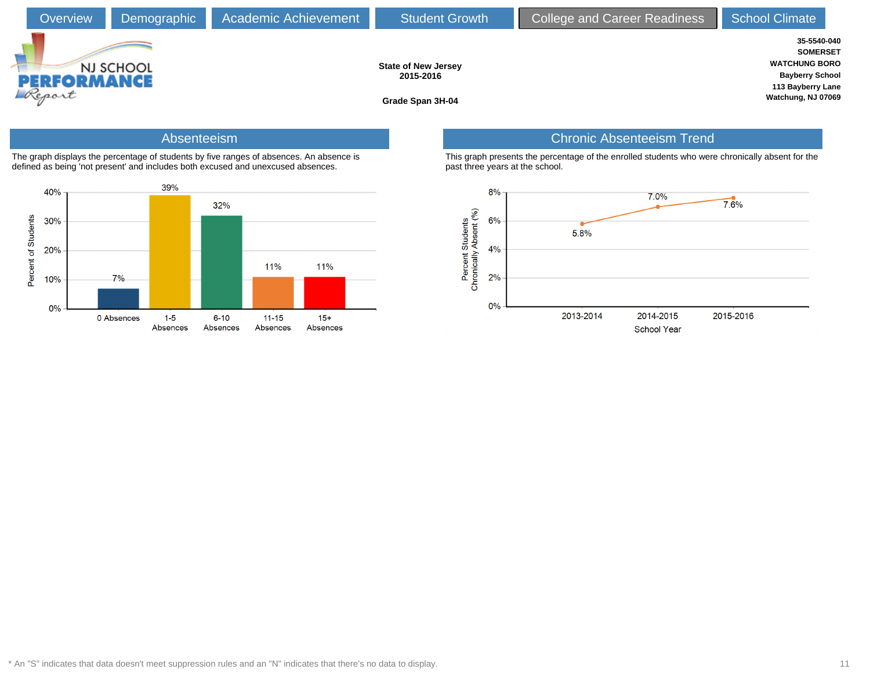

### Absenteeism

The graph displays the percentage of students by five ranges of absences. An absence is defined as being 'not present' and includes both excused and unexcused absences.



## Chronic Absenteeism Trend

This graph presents the percentage of the enrolled students who were chronically absent for the past three years at the school.